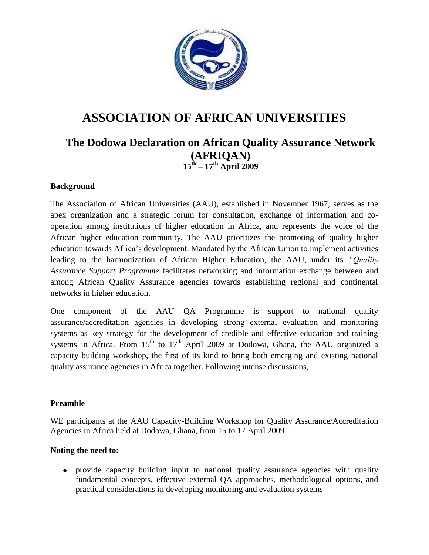

# **ASSOCIATION OF AFRICAN UNIVERSITIES**

# **The Dodowa Declaration on African Quality Assurance Network (AFRIQAN) 15th – 17th April 2009**

#### **Background**

The Association of African Universities (AAU), established in November 1967, serves as the apex organization and a strategic forum for consultation, exchange of information and cooperation among institutions of higher education in Africa, and represents the voice of the African higher education community. The AAU prioritizes the promoting of quality higher education towards Africa's development. Mandated by the African Union to implement activities leading to the harmonization of African Higher Education, the AAU, under its *"Quality Assurance Support Programme* facilitates networking and information exchange between and among African Quality Assurance agencies towards establishing regional and continental networks in higher education.

One component of the AAU QA Programme is support to national quality assurance/accreditation agencies in developing strong external evaluation and monitoring systems as key strategy for the development of credible and effective education and training systems in Africa. From  $15<sup>th</sup>$  to  $17<sup>th</sup>$  April 2009 at Dodowa, Ghana, the AAU organized a capacity building workshop, the first of its kind to bring both emerging and existing national quality assurance agencies in Africa together. Following intense discussions,

#### **Preamble**

WE participants at the AAU Capacity-Building Workshop for Quality Assurance/Accreditation Agencies in Africa held at Dodowa, Ghana, from 15 to 17 April 2009

#### **Noting the need to:**

provide capacity building input to national quality assurance agencies with quality fundamental concepts, effective external QA approaches, methodological options, and practical considerations in developing monitoring and evaluation systems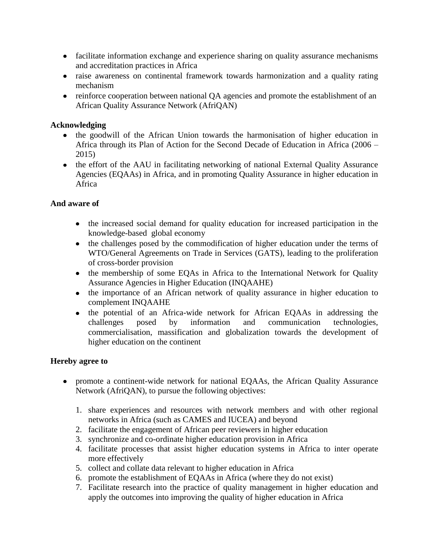- facilitate information exchange and experience sharing on quality assurance mechanisms and accreditation practices in Africa
- raise awareness on continental framework towards harmonization and a quality rating mechanism
- reinforce cooperation between national QA agencies and promote the establishment of an African Quality Assurance Network (AfriQAN)

## **Acknowledging**

- the goodwill of the African Union towards the harmonisation of higher education in Africa through its Plan of Action for the Second Decade of Education in Africa (2006 – 2015)
- the effort of the AAU in facilitating networking of national External Quality Assurance Agencies (EQAAs) in Africa, and in promoting Quality Assurance in higher education in Africa

# **And aware of**

- the increased social demand for quality education for increased participation in the knowledge-based global economy
- the challenges posed by the commodification of higher education under the terms of WTO/General Agreements on Trade in Services (GATS), leading to the proliferation of cross-border provision
- the membership of some EQAs in Africa to the International Network for Quality Assurance Agencies in Higher Education (INQAAHE)
- the importance of an African network of quality assurance in higher education to complement INQAAHE
- the potential of an Africa-wide network for African EQAAs in addressing the challenges posed by information and communication technologies, commercialisation, massification and globalization towards the development of higher education on the continent

### **Hereby agree to**

- promote a continent-wide network for national EQAAs, the African Quality Assurance Network (AfriQAN), to pursue the following objectives:
	- 1. share experiences and resources with network members and with other regional networks in Africa (such as CAMES and IUCEA) and beyond
	- 2. facilitate the engagement of African peer reviewers in higher education
	- 3. synchronize and co-ordinate higher education provision in Africa
	- 4. facilitate processes that assist higher education systems in Africa to inter operate more effectively
	- 5. collect and collate data relevant to higher education in Africa
	- 6. promote the establishment of EQAAs in Africa (where they do not exist)
	- 7. Facilitate research into the practice of quality management in higher education and apply the outcomes into improving the quality of higher education in Africa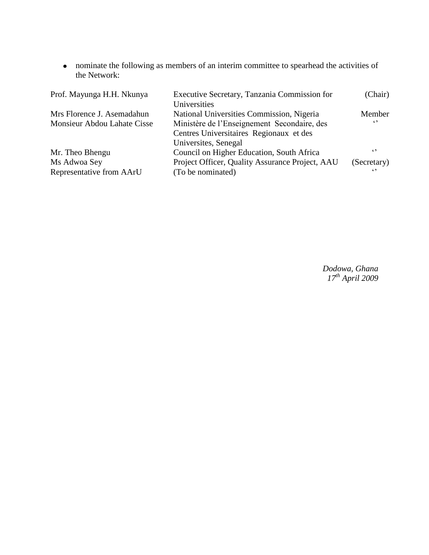nominate the following as members of an interim committee to spearhead the activities of the Network:

| Prof. Mayunga H.H. Nkunya   | Executive Secretary, Tanzania Commission for<br>Universities | (Chair)     |
|-----------------------------|--------------------------------------------------------------|-------------|
| Mrs Florence J. Asemadahun  | National Universities Commission, Nigeria                    | Member      |
| Monsieur Abdou Lahate Cisse | Ministère de l'Enseignement Secondaire, des                  | $\epsilon$  |
|                             | Centres Universitaires Regionaux et des                      |             |
|                             | Universites, Senegal                                         |             |
| Mr. Theo Bhengu             | Council on Higher Education, South Africa                    | $\epsilon$  |
| Ms Adwoa Sey                | Project Officer, Quality Assurance Project, AAU              | (Secretary) |
| Representative from AArU    | (To be nominated)                                            | $\sim$      |

*Dodowa, Ghana 17th April 2009*